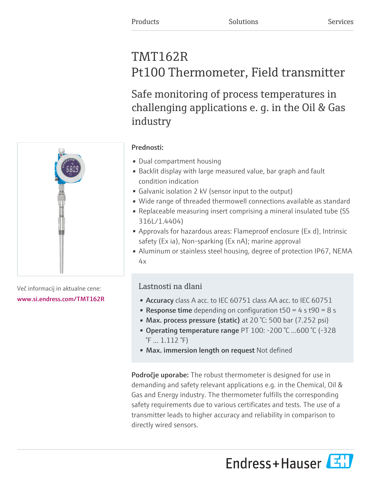# TMT162R Pt100 Thermometer, Field transmitter

Safe monitoring of process temperatures in challenging applications e. g. in the Oil & Gas industry



## Več informacij in aktualne cene: [www.si.endress.com/TMT162R](https://www.si.endress.com/TMT162R)

## Prednosti:

- Dual compartment housing
- Backlit display with large measured value, bar graph and fault condition indication
- Galvanic isolation 2 kV (sensor input to the output)
- Wide range of threaded thermowell connections available as standard
- Replaceable measuring insert comprising a mineral insulated tube (SS 316L/1.4404)
- Approvals for hazardous areas: Flameproof enclosure (Ex d), Intrinsic safety (Ex ia), Non-sparking (Ex nA); marine approval
- Aluminum or stainless steel housing, degree of protection IP67, NEMA  $4x$

# Lastnosti na dlani

- Accuracy class A acc. to IEC 60751 class AA acc. to IEC 60751
- **Response time** depending on configuration  $t50 = 4$  s  $t90 = 8$  s
- Max. process pressure (static) at 20 °C: 500 bar (7.252 psi)
- Operating temperature range PT 100: -200 °C ...600 °C (-328  $\hat{F}$  ... 1.112  $\hat{F}$ )
- Max. immersion length on request Not defined

**Področje uporabe:** The robust thermometer is designed for use in demanding and safety relevant applications e.g. in the Chemical, Oil & Gas and Energy industry. The thermometer fulfills the corresponding safety requirements due to various certificates and tests. The use of a transmitter leads to higher accuracy and reliability in comparison to directly wired sensors.

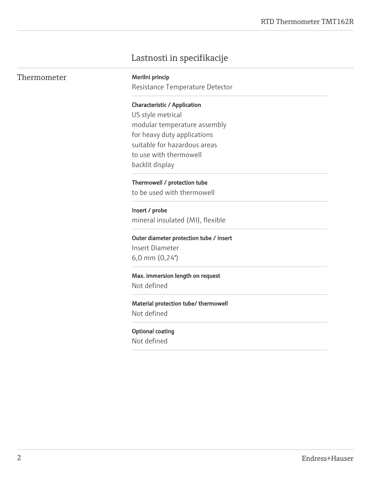# Lastnosti in specifikacije

| Thermometer |  |
|-------------|--|
|-------------|--|

Merilni princip Resistance Temperature Detector

#### Characteristic / Application

US style metrical modular temperature assembly for heavy duty applications suitable for hazardous areas to use with thermowell backlit display

#### Thermowell / protection tube

to be used with thermowell

Insert / probe mineral insulated (MI), flexible

## Outer diameter protection tube / Insert Insert Diameter  $6,0$  mm  $(0,24")$

Max. immersion length on request Not defined

Material protection tube/ thermowell Not defined

Optional coating Not defined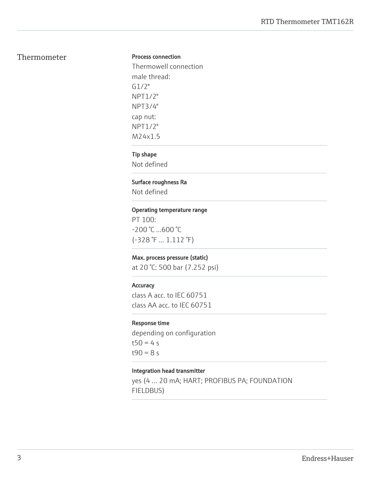## Thermometer

#### Process connection

Thermowell connection male thread: G1/2" NPT1/2" NPT3/4" cap nut: NPT1/2" M24x1.5

#### Tip shape

Not defined

#### Surface roughness Ra

Not defined

#### Operating temperature range

PT 100: -200 °C ...600 °C (-328 °F ... 1.112 °F)

#### Max. process pressure (static)

at 20 °C: 500 bar (7.252 psi)

#### **Accuracy**

class A acc. to IEC 60751 class AA acc. to IEC 60751

#### Response time

depending on configuration  $t50 = 4 s$  $t90 = 8 s$ 

#### Integration head transmitter

yes (4 … 20 mA; HART; PROFIBUS PA; FOUNDATION FIELDBUS)